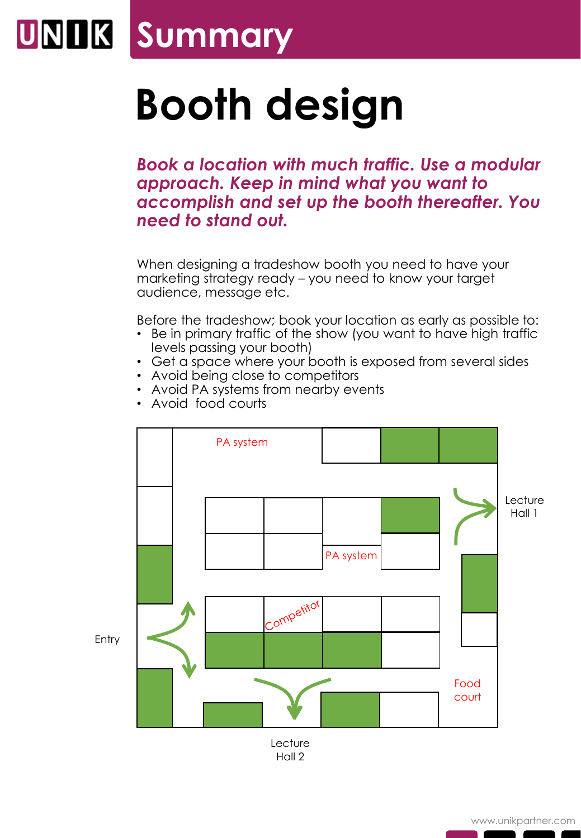## **UNIK Summary**

## **Booth design**

*Book a location with much traffic. Use a modular approach. Keep in mind what you want to accomplish and set up the booth thereafter. You need to stand out.*

When designing a tradeshow booth you need to have your marketing strategy ready – you need to know your target audience, message etc.

Before the tradeshow; book your location as early as possible to:

- Be in primary traffic of the show (you want to have high traffic levels passing your booth)
- Get a space where your booth is exposed from several sides
- Avoid being close to competitors
- Avoid PA systems from nearby events
- Avoid food courts



Hall 2

www.unikpartner.com